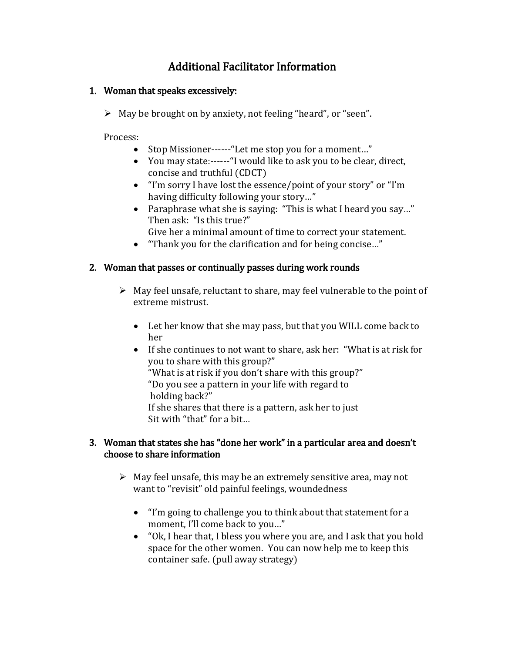# Additional Facilitator Information

#### 1. Woman that speaks excessively:

 $\triangleright$  May be brought on by anxiety, not feeling "heard", or "seen".

Process:

- Stop Missioner------"Let me stop you for a moment..."
- You may state:------"I would like to ask you to be clear, direct, concise and truthful (CDCT)
- "I'm sorry I have lost the essence/point of your story" or "I'm having difficulty following your story…"
- Paraphrase what she is saying: "This is what I heard you say…" Then ask: "Is this true?"
	- Give her a minimal amount of time to correct your statement.
- "Thank you for the clarification and for being concise…"

## 2. Woman that passes or continually passes during work rounds

- $\triangleright$  May feel unsafe, reluctant to share, may feel vulnerable to the point of extreme mistrust.
	- Let her know that she may pass, but that you WILL come back to her
	- If she continues to not want to share, ask her: "What is at risk for you to share with this group?" "What is at risk if you don't share with this group?" "Do you see a pattern in your life with regard to holding back?" If she shares that there is a pattern, ask her to just Sit with "that" for a bit…

#### 3. Woman that states she has "done her work" in a particular area and doesn't choose to share information

- $\triangleright$  May feel unsafe, this may be an extremely sensitive area, may not want to "revisit" old painful feelings, woundedness
	- "I'm going to challenge you to think about that statement for a moment, I'll come back to you…"
	- "Ok, I hear that, I bless you where you are, and I ask that you hold space for the other women. You can now help me to keep this container safe. (pull away strategy)